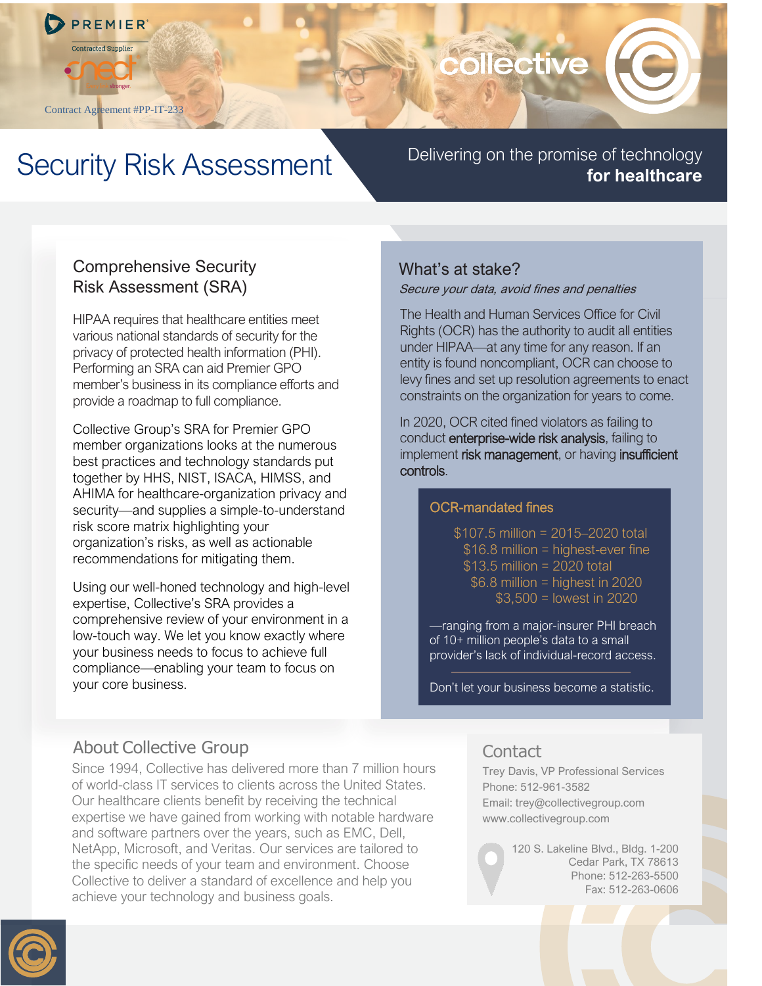

Contract Agreement #PP-IT-233

# collective

## Security Risk Assessment Delivering on the promise of technology

# **for healthcare**

#### Comprehensive Security Risk Assessment (SRA)

HIPAA requires that healthcare entities meet various national standards of security for the privacy of protected health information (PHI). Performing an SRA can aid Premier GPO member's business in its compliance efforts and provide a roadmap to full compliance.

Collective Group's SRA for Premier GPO member organizations looks at the numerous best practices and technology standards put together by HHS, NIST, ISACA, HIMSS, and AHIMA for healthcare-organization privacy and security—and supplies a simple-to-understand risk score matrix highlighting your organization's risks, as well as actionable recommendations for mitigating them.

Using our well-honed technology and high-level expertise, Collective's SRA provides a comprehensive review of your environment in a low-touch way. We let you know exactly where your business needs to focus to achieve full compliance—enabling your team to focus on your core business.

### What's at stake?

#### Secure your data, avoid fines and penalties

The Health and Human Services Office for Civil Rights (OCR) has the authority to audit all entities under HIPAA—at any time for any reason. If an entity is found noncompliant, OCR can choose to levy fines and set up resolution agreements to enact constraints on the organization for years to come.

In 2020, OCR cited fined violators as failing to conduct enterprise-wide risk analysis, failing to implement risk management, or having insufficient controls.

#### OCR-mandated fines

\$107.5 million = 2015–2020 total \$16.8 million = highest-ever fine \$13.5 million = 2020 total  $$6.8$  million = highest in 2020 \$3,500 = lowest in 2020

—ranging from a major-insurer PHI breach of 10+ million people's data to a small provider's lack of individual-record access.

Don't let your business become a statistic.

## About Collective Group

Since 1994, Collective has delivered more than 7 million hours of world-class IT services to clients across the United States. Our healthcare clients benefit by receiving the technical expertise we have gained from working with notable hardware and software partners over the years, such as EMC, Dell, NetApp, Microsoft, and Veritas. Our services are tailored to the specific needs of your team and environment. Choose Collective to deliver a standard of excellence and help you achieve your technology and business goals.

#### **Contact**

Trey Davis, VP Professional Services Phone: 512-961-3582 Email: trey@collectivegroup.com www.collectivegroup.com

> 120 S. Lakeline Blvd., Bldg. 1-200 Cedar Park, TX 78613 Phone: 512-263-5500 Fax: 512-263-0606